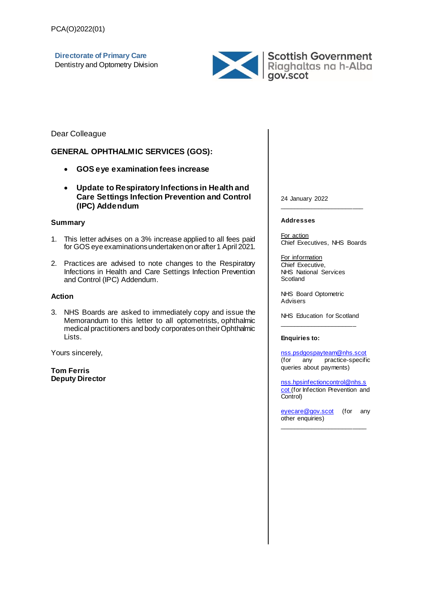**Directorate of Primary Care** Dentistry and Optometry Division



Dear Colleague

#### **GENERAL OPHTHALMIC SERVICES (GOS):**

- **GOS eye examination fees increase**
- **Update to Respiratory Infections in Health and Care Settings Infection Prevention and Control (IPC) Addendum**

#### **Summary**

- 1. This letter advises on a 3% increase applied to all fees paid for GOS eye examinations undertaken on or after 1 April 2021.
- 2. Practices are advised to note changes to the Respiratory Infections in Health and Care Settings Infection Prevention and Control (IPC) Addendum.

#### **Action**

3. NHS Boards are asked to immediately copy and issue the Memorandum to this letter to all optometrists, ophthalmic medical practitioners and body corporates on their Ophthalmic Lists.

Yours sincerely,

**Tom Ferris Deputy Director** 24 January 2022

#### **Addresses**

For action Chief Executives, NHS Boards

\_\_\_\_\_\_\_\_\_\_\_\_\_\_\_\_\_\_\_\_\_\_\_\_

For information Chief Executive, NHS National Services **Scotland** 

NHS Board Optometric Advisers

NHS Education for Scotland  $\frac{1}{2}$  ,  $\frac{1}{2}$  ,  $\frac{1}{2}$  ,  $\frac{1}{2}$  ,  $\frac{1}{2}$  ,  $\frac{1}{2}$  ,  $\frac{1}{2}$  ,  $\frac{1}{2}$  ,  $\frac{1}{2}$  ,  $\frac{1}{2}$  ,  $\frac{1}{2}$  ,  $\frac{1}{2}$  ,  $\frac{1}{2}$  ,  $\frac{1}{2}$  ,  $\frac{1}{2}$  ,  $\frac{1}{2}$  ,  $\frac{1}{2}$  ,  $\frac{1}{2}$  ,  $\frac{1$ 

#### **Enquiries to:**

[nss.psdgospayteam@nhs.scot](mailto:nss.psdgospayteam@nhs.scot?subject=PCA(O)2022(01)%20Query) (for any practice-specific queries about payments)

[nss.hpsinfectioncontrol@nhs.s](mailto:nss.hpsinfectioncontrol@nhs.scot) [cot](mailto:nss.hpsinfectioncontrol@nhs.scot) (for Infection Prevention and Control)

[eyecare@gov.scot](mailto:eyecare@gov.scot?subject=PCA(O)2022(01)%20Query) (for any other enquiries) \_\_\_\_\_\_\_\_\_\_\_\_\_\_\_\_\_\_\_\_\_\_\_\_\_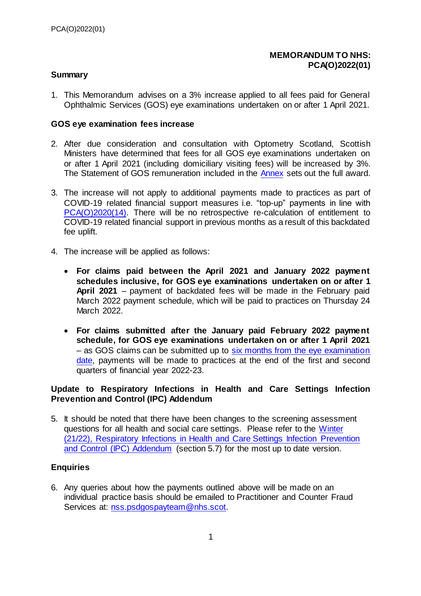### **MEMORANDUM TO NHS: PCA(O)2022(01)**

### **Summary**

1. This Memorandum advises on a 3% increase applied to all fees paid for General Ophthalmic Services (GOS) eye examinations undertaken on or after 1 April 2021.

#### **GOS eye examination fees increase**

- 2. After due consideration and consultation with Optometry Scotland, Scottish Ministers have determined that fees for all GOS eye examinations undertaken on or after 1 April 2021 (including domiciliary visiting fees) will be increased by 3%. The Statement of GOS remuneration included in the [Annex](#page-3-0) sets out the full award.
- 3. The increase will not apply to additional payments made to practices as part of COVID-19 related financial support measures i.e. "top-up" payments in line with [PCA\(O\)2020\(14\).](https://www.sehd.scot.nhs.uk/pca/PCA2020(O)14.pdf) There will be no retrospective re-calculation of entitlement to COVID-19 related financial support in previous months as a result of this backdated fee uplift.
- 4. The increase will be applied as follows:
	- **For claims paid between the April 2021 and January 2022 payment schedules inclusive, for GOS eye examinations undertaken on or after 1 April 2021** – payment of backdated fees will be made in the February paid March 2022 payment schedule, which will be paid to practices on Thursday 24 March 2022.
	- **For claims submitted after the January paid February 2022 payment schedule, for GOS eye examinations undertaken on or after 1 April 2021** – as GOS claims can be submitted up to [six months from the eye examination](https://www.legislation.gov.uk/ssi/2006/135/schedule/1/paragraph/13)  [date,](https://www.legislation.gov.uk/ssi/2006/135/schedule/1/paragraph/13) payments will be made to practices at the end of the first and second quarters of financial year 2022-23.

# **Update to Respiratory Infections in Health and Care Settings Infection Prevention and Control (IPC) Addendum**

5. It should be noted that there have been changes to the screening assessment questions for all health and social care settings. Please refer to the [Winter](https://www.nipcm.hps.scot.nhs.uk/winter-2122-respiratory-infections-in-health-and-care-settings-infection-prevention-and-control-ipc-addendum/)  [\(21/22\), Respiratory Infections in Health and Care Settings Infection Prevention](https://www.nipcm.hps.scot.nhs.uk/winter-2122-respiratory-infections-in-health-and-care-settings-infection-prevention-and-control-ipc-addendum/)  [and Control \(IPC\) Addendum](https://www.nipcm.hps.scot.nhs.uk/winter-2122-respiratory-infections-in-health-and-care-settings-infection-prevention-and-control-ipc-addendum/) (section 5.7) for the most up to date version.

# **Enquiries**

6. Any queries about how the payments outlined above will be made on an individual practice basis should be emailed to Practitioner and Counter Fraud Services at: [nss.psdgospayteam@nhs.scot.](mailto:nss.psdgospayteam@nhs.scot?subject=PCA(O)2022(01)%20Query)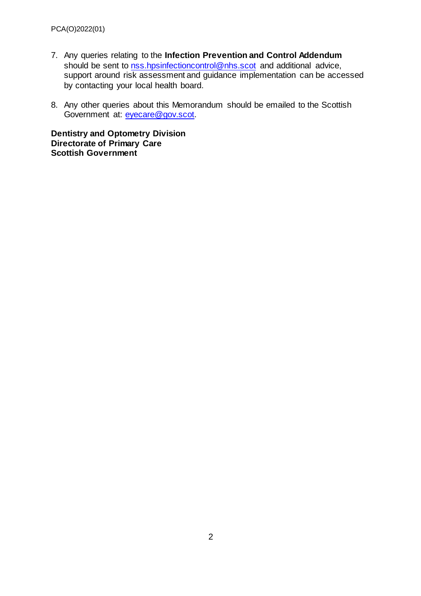- 7. Any queries relating to the **Infection Prevention and Control Addendum**  should be sent to [nss.hpsinfectioncontrol@nhs.scot](mailto:nss.hpsinfectioncontrol@nhs.scot) and additional advice, support around risk assessment and guidance implementation can be accessed by contacting your local health board.
- 8. Any other queries about this Memorandum should be emailed to the Scottish Government at: [eyecare@gov.scot.](mailto:eyecare@gov.scot?subject=PCA(O)2022(01)%20Query)

**Dentistry and Optometry Division Directorate of Primary Care Scottish Government**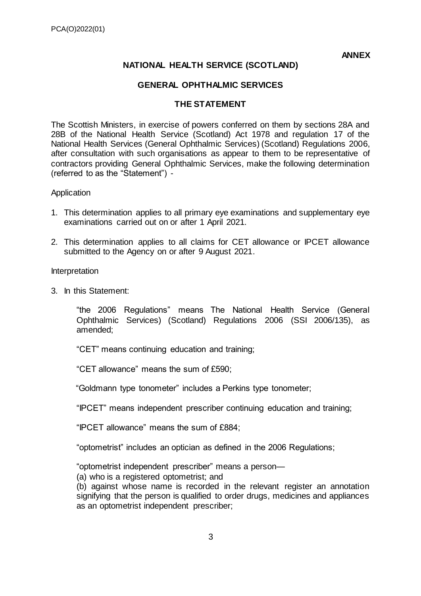**ANNEX**

# **NATIONAL HEALTH SERVICE (SCOTLAND)**

# **GENERAL OPHTHALMIC SERVICES**

#### **THE STATEMENT**

<span id="page-3-0"></span>The Scottish Ministers, in exercise of powers conferred on them by sections 28A and 28B of the National Health Service (Scotland) Act 1978 and regulation 17 of the National Health Services (General Ophthalmic Services) (Scotland) Regulations 2006, after consultation with such organisations as appear to them to be representative of contractors providing General Ophthalmic Services, make the following determination (referred to as the "Statement") -

#### Application

- 1. This determination applies to all primary eye examinations and supplementary eye examinations carried out on or after 1 April 2021.
- 2. This determination applies to all claims for CET allowance or IPCET allowance submitted to the Agency on or after 9 August 2021.

#### Interpretation

3. In this Statement:

"the 2006 Regulations" means The National Health Service (General Ophthalmic Services) (Scotland) Regulations 2006 (SSI 2006/135), as amended;

"CET" means continuing education and training;

"CET allowance" means the sum of £590;

"Goldmann type tonometer" includes a Perkins type tonometer;

"IPCET" means independent prescriber continuing education and training;

"IPCET allowance" means the sum of £884;

"optometrist" includes an optician as defined in the 2006 Regulations;

"optometrist independent prescriber" means a person—

(a) who is a registered optometrist; and

(b) against whose name is recorded in the relevant register an annotation signifying that the person is qualified to order drugs, medicines and appliances as an optometrist independent prescriber;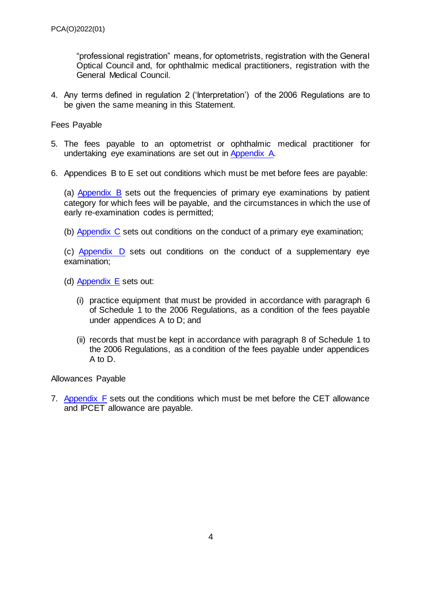"professional registration" means, for optometrists, registration with the General Optical Council and, for ophthalmic medical practitioners, registration with the General Medical Council.

4. Any terms defined in regulation 2 ('Interpretation') of the 2006 Regulations are to be given the same meaning in this Statement.

Fees Payable

- 5. The fees payable to an optometrist or ophthalmic medical practitioner for undertaking eye examinations are set out i[n Appendix A.](#page-5-0)
- 6. Appendices B to E set out conditions which must be met before fees are payable:

(a) [Appendix B](#page-6-0) sets out the frequencies of primary eye examinations by patient category for which fees will be payable, and the circumstances in which the use of early re-examination codes is permitted;

(b) [Appendix C](#page-7-0) sets out conditions on the conduct of a primary eye examination;

(c) [Appendix D](#page-9-0) sets out conditions on the conduct of a supplementary eye examination;

(d) [Appendix E](#page-14-0) sets out:

- (i) practice equipment that must be provided in accordance with paragraph 6 of Schedule 1 to the 2006 Regulations, as a condition of the fees payable under appendices A to D; and
- (ii) records that must be kept in accordance with paragraph 8 of Schedule 1 to the 2006 Regulations, as a condition of the fees payable under appendices A to D.

Allowances Payable

7. [Appendix F](#page-16-0) sets out the conditions which must be met before the CET allowance and IPCET allowance are payable.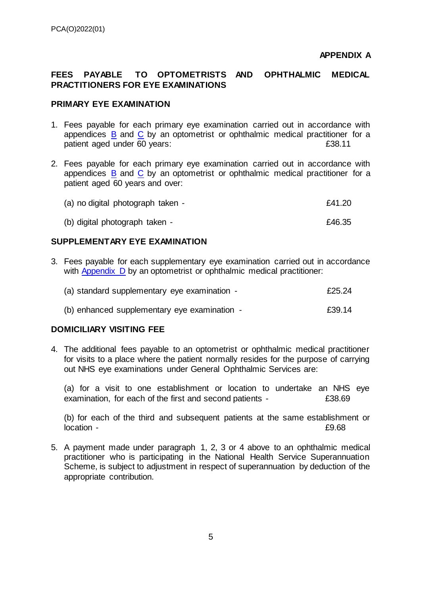# <span id="page-5-0"></span>FEES PAYABLE TO OPTOMETRISTS AND OPHTHALMIC MEDICAL **PRACTITIONERS FOR EYE EXAMINATIONS**

#### **PRIMARY EYE EXAMINATION**

- 1. Fees payable for each primary eye examination carried out in accordance with appendices  $\overline{B}$  $\overline{B}$  $\overline{B}$  and  $\overline{C}$  by an optometrist or ophthalmic medical practitioner for a patient aged under 60 years: **E38.11**
- 2. Fees payable for each primary eye examination carried out in accordance with appendices  $\overline{B}$  $\overline{B}$  $\overline{B}$  and  $\overline{C}$  by an optometrist or ophthalmic medical practitioner for a patient aged 60 years and over:

| (a) no digital photograph taken - |  |  | £41.20 |
|-----------------------------------|--|--|--------|
|                                   |  |  |        |

(b) digital photograph taken -  $\epsilon$ 46.35

# **SUPPLEMENTARY EYE EXAMINATION**

3. Fees payable for each supplementary eye examination carried out in accordance with [Appendix D](#page-9-0) by an optometrist or ophthalmic medical practitioner:

| (a) standard supplementary eye examination - |        |  |  |  |  |  |
|----------------------------------------------|--------|--|--|--|--|--|
| (b) enhanced supplementary eye examination - | £39.14 |  |  |  |  |  |

# **DOMICILIARY VISITING FEE**

4. The additional fees payable to an optometrist or ophthalmic medical practitioner for visits to a place where the patient normally resides for the purpose of carrying out NHS eye examinations under General Ophthalmic Services are:

(a) for a visit to one establishment or location to undertake an NHS eye examination, for each of the first and second patients -  $£38.69$ 

(b) for each of the third and subsequent patients at the same establishment or location -  $\text{E}9.68$ 

5. A payment made under paragraph 1, 2, 3 or 4 above to an ophthalmic medical practitioner who is participating in the National Health Service Superannuation Scheme, is subject to adjustment in respect of superannuation by deduction of the appropriate contribution.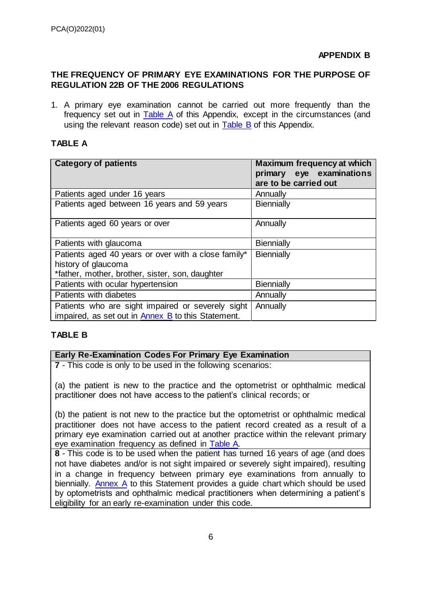# <span id="page-6-0"></span>**THE FREQUENCY OF PRIMARY EYE EXAMINATIONS FOR THE PURPOSE OF REGULATION 22B OF THE 2006 REGULATIONS**

1. A primary eye examination cannot be carried out more frequently than the frequency set out in [Table A](#page-6-1) of this Appendix, except in the circumstances (and using the relevant reason code) set out in [Table B](#page-6-2) of this Appendix.

# <span id="page-6-1"></span>**TABLE A**

<span id="page-6-3"></span>

| <b>Category of patients</b>                         | <b>Maximum frequency at which</b> |  |  |  |  |  |
|-----------------------------------------------------|-----------------------------------|--|--|--|--|--|
|                                                     | primary eye examinations          |  |  |  |  |  |
|                                                     | are to be carried out             |  |  |  |  |  |
| Patients aged under 16 years                        | Annually                          |  |  |  |  |  |
| Patients aged between 16 years and 59 years         | <b>Biennially</b>                 |  |  |  |  |  |
|                                                     |                                   |  |  |  |  |  |
| Patients aged 60 years or over                      | Annually                          |  |  |  |  |  |
|                                                     |                                   |  |  |  |  |  |
| Patients with glaucoma                              | <b>Biennially</b>                 |  |  |  |  |  |
| Patients aged 40 years or over with a close family* | <b>Biennially</b>                 |  |  |  |  |  |
| history of glaucoma                                 |                                   |  |  |  |  |  |
| *father, mother, brother, sister, son, daughter     |                                   |  |  |  |  |  |
| Patients with ocular hypertension                   | <b>Biennially</b>                 |  |  |  |  |  |
| Patients with diabetes                              | Annually                          |  |  |  |  |  |
| Patients who are sight impaired or severely sight   | Annually                          |  |  |  |  |  |
| impaired, as set out in Annex B to this Statement.  |                                   |  |  |  |  |  |

# <span id="page-6-2"></span>**TABLE B**

# **Early Re-Examination Codes For Primary Eye Examination**

**7** - This code is only to be used in the following scenarios:

(a) the patient is new to the practice and the optometrist or ophthalmic medical practitioner does not have access to the patient's clinical records; or

(b) the patient is not new to the practice but the optometrist or ophthalmic medical practitioner does not have access to the patient record created as a result of a primary eye examination carried out at another practice within the relevant primary eye examination frequency as defined in [Table A.](#page-6-1)

**8** - This code is to be used when the patient has turned 16 years of age (and does not have diabetes and/or is not sight impaired or severely sight impaired), resulting in a change in frequency between primary eye examinations from annually to biennially. Annex A to this Statement provides a guide chart which should be used by optometrists and ophthalmic medical practitioners when determining a patient's eligibility for an early re-examination under this code.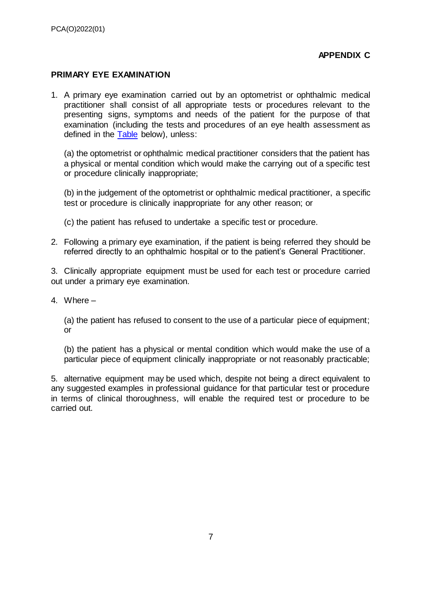# **APPENDIX C**

# <span id="page-7-0"></span>**PRIMARY EYE EXAMINATION**

1. A primary eye examination carried out by an optometrist or ophthalmic medical practitioner shall consist of all appropriate tests or procedures relevant to the presenting signs, symptoms and needs of the patient for the purpose of that examination (including the tests and procedures of an eye health assessment as defined in the [Table](#page-8-0) below), unless:

(a) the optometrist or ophthalmic medical practitioner considers that the patient has a physical or mental condition which would make the carrying out of a specific test or procedure clinically inappropriate;

(b) in the judgement of the optometrist or ophthalmic medical practitioner, a specific test or procedure is clinically inappropriate for any other reason; or

(c) the patient has refused to undertake a specific test or procedure.

2. Following a primary eye examination, if the patient is being referred they should be referred directly to an ophthalmic hospital or to the patient's General Practitioner.

3. Clinically appropriate equipment must be used for each test or procedure carried out under a primary eye examination.

4. Where –

(a) the patient has refused to consent to the use of a particular piece of equipment; or

(b) the patient has a physical or mental condition which would make the use of a particular piece of equipment clinically inappropriate or not reasonably practicable;

5. alternative equipment may be used which, despite not being a direct equivalent to any suggested examples in professional guidance for that particular test or procedure in terms of clinical thoroughness, will enable the required test or procedure to be carried out.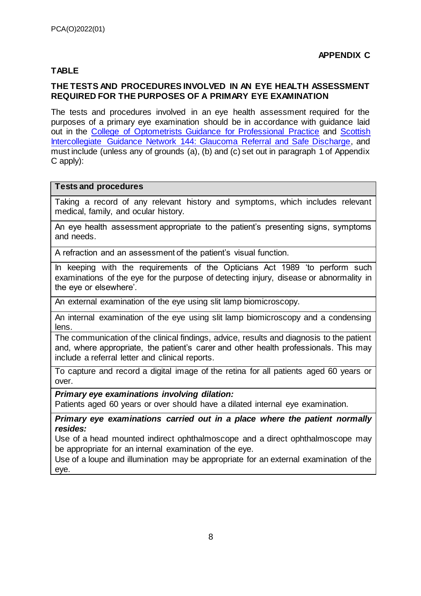# <span id="page-8-0"></span>**TABLE**

# **THE TESTS AND PROCEDURES INVOLVED IN AN EYE HEALTH ASSESSMENT REQUIRED FOR THE PURPOSES OF A PRIMARY EYE EXAMINATION**

The tests and procedures involved in an eye health assessment required for the purposes of a primary eye examination should be in accordance with guidance laid out in the [College of Optometrists Guidance for Professional Practice](https://guidance.college-optometrists.org/home/) and [Scottish](http://www.sign.ac.uk/sign-144-glaucoma-referral-and-safe-discharge.html)  [Intercollegiate Guidance Network 144: Glaucoma Referral and Safe Discharge,](http://www.sign.ac.uk/sign-144-glaucoma-referral-and-safe-discharge.html) and must include (unless any of grounds (a), (b) and (c) set out in paragraph 1 of Appendix C apply):

#### **Tests and procedures**

Taking a record of any relevant history and symptoms, which includes relevant medical, family, and ocular history.

An eye health assessment appropriate to the patient's presenting signs, symptoms and needs.

A refraction and an assessment of the patient's visual function.

In keeping with the requirements of the Opticians Act 1989 'to perform such examinations of the eye for the purpose of detecting injury, disease or abnormality in the eye or elsewhere'.

An external examination of the eye using slit lamp biomicroscopy.

An internal examination of the eye using slit lamp biomicroscopy and a condensing lens.

The communication of the clinical findings, advice, results and diagnosis to the patient and, where appropriate, the patient's carer and other health professionals. This may include a referral letter and clinical reports.

To capture and record a digital image of the retina for all patients aged 60 years or over.

#### *Primary eye examinations involving dilation:*

Patients aged 60 years or over should have a dilated internal eye examination.

*Primary eye examinations carried out in a place where the patient normally resides:*

Use of a head mounted indirect ophthalmoscope and a direct ophthalmoscope may be appropriate for an internal examination of the eye.

Use of a loupe and illumination may be appropriate for an external examination of the eye.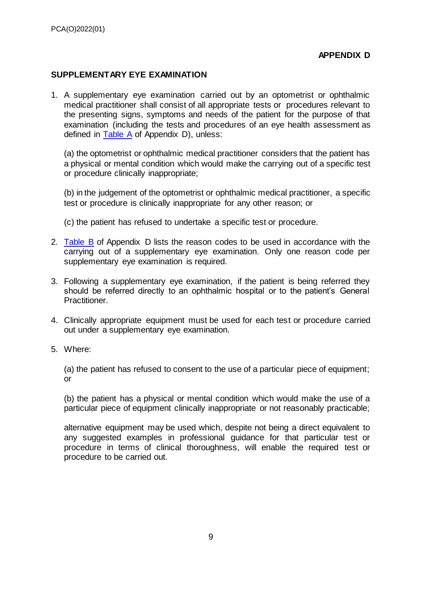## **APPENDIX D**

#### <span id="page-9-0"></span>**SUPPLEMENTARY EYE EXAMINATION**

1. A supplementary eye examination carried out by an optometrist or ophthalmic medical practitioner shall consist of all appropriate tests or procedures relevant to the presenting signs, symptoms and needs of the patient for the purpose of that examination (including the tests and procedures of an eye health assessment as defined in [Table A](#page-10-0) of Appendix D), unless:

(a) the optometrist or ophthalmic medical practitioner considers that the patient has a physical or mental condition which would make the carrying out of a specific test or procedure clinically inappropriate;

(b) in the judgement of the optometrist or ophthalmic medical practitioner, a specific test or procedure is clinically inappropriate for any other reason; or

(c) the patient has refused to undertake a specific test or procedure.

- 2. [Table B](#page-11-0) of Appendix D lists the reason codes to be used in accordance with the carrying out of a supplementary eye examination. Only one reason code per supplementary eye examination is required.
- 3. Following a supplementary eye examination, if the patient is being referred they should be referred directly to an ophthalmic hospital or to the patient's General Practitioner.
- 4. Clinically appropriate equipment must be used for each test or procedure carried out under a supplementary eye examination.
- 5. Where:

(a) the patient has refused to consent to the use of a particular piece of equipment; or

(b) the patient has a physical or mental condition which would make the use of a particular piece of equipment clinically inappropriate or not reasonably practicable;

alternative equipment may be used which, despite not being a direct equivalent to any suggested examples in professional guidance for that particular test or procedure in terms of clinical thoroughness, will enable the required test or procedure to be carried out.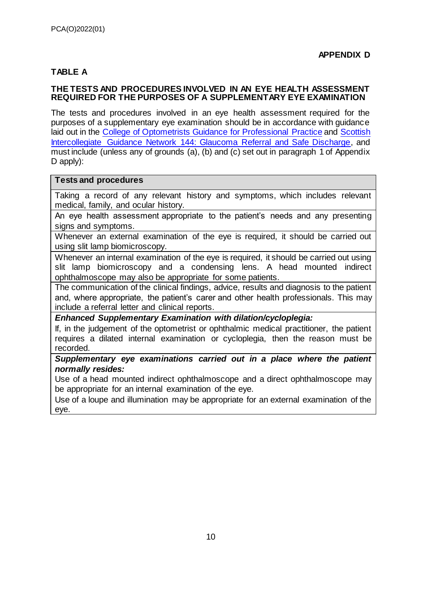# <span id="page-10-0"></span>**TABLE A**

#### **THE TESTS AND PROCEDURES INVOLVED IN AN EYE HEALTH ASSESSMENT REQUIRED FOR THE PURPOSES OF A SUPPLEMENTARY EYE EXAMINATION**

The tests and procedures involved in an eye health assessment required for the purposes of a supplementary eye examination should be in accordance with guidance laid out in the [College of Optometrists Guidance for Professional Practice](https://guidance.college-optometrists.org/home/) and [Scottish](http://www.sign.ac.uk/sign-144-glaucoma-referral-and-safe-discharge.html)  [Intercollegiate Guidance Network 144: Glaucoma Referral and Safe Discharge,](http://www.sign.ac.uk/sign-144-glaucoma-referral-and-safe-discharge.html) and must include (unless any of grounds (a), (b) and (c) set out in paragraph 1 of Appendix D apply):

#### **Tests and procedures**

Taking a record of any relevant history and symptoms, which includes relevant medical, family, and ocular history.

An eye health assessment appropriate to the patient's needs and any presenting signs and symptoms.

Whenever an external examination of the eye is required, it should be carried out using slit lamp biomicroscopy.

Whenever an internal examination of the eye is required, it should be carried out using slit lamp biomicroscopy and a condensing lens. A head mounted indirect ophthalmoscope may also be appropriate for some patients.

The communication of the clinical findings, advice, results and diagnosis to the patient and, where appropriate, the patient's carer and other health professionals. This may include a referral letter and clinical reports.

*Enhanced Supplementary Examination with dilation/cycloplegia:*

If, in the judgement of the optometrist or ophthalmic medical practitioner, the patient requires a dilated internal examination or cycloplegia, then the reason must be recorded.

*Supplementary eye examinations carried out in a place where the patient normally resides:*

Use of a head mounted indirect ophthalmoscope and a direct ophthalmoscope may be appropriate for an internal examination of the eye.

Use of a loupe and illumination may be appropriate for an external examination of the eye.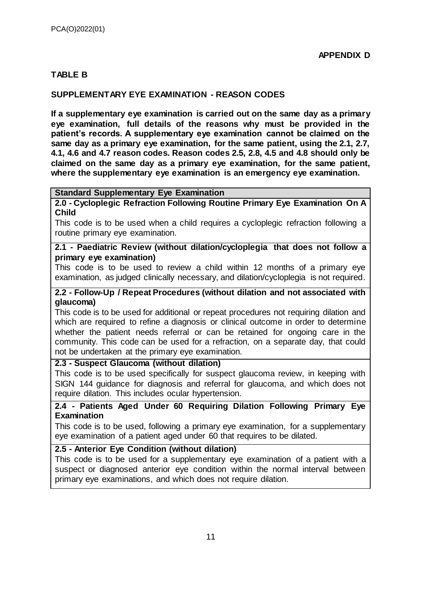# <span id="page-11-0"></span>**TABLE B**

# **SUPPLEMENTARY EYE EXAMINATION - REASON CODES**

**If a supplementary eye examination is carried out on the same day as a primary eye examination, full details of the reasons why must be provided in the patient's records. A supplementary eye examination cannot be claimed on the same day as a primary eye examination, for the same patient, using the 2.1, 2.7, 4.1, 4.6 and 4.7 reason codes. Reason codes 2.5, 2.8, 4.5 and 4.8 should only be claimed on the same day as a primary eye examination, for the same patient, where the supplementary eye examination is an emergency eye examination.**

#### **Standard Supplementary Eye Examination**

**2.0 - Cycloplegic Refraction Following Routine Primary Eye Examination On A Child**

This code is to be used when a child requires a cycloplegic refraction following a routine primary eye examination.

### **2.1 - Paediatric Review (without dilation/cycloplegia that does not follow a primary eye examination)**

This code is to be used to review a child within 12 months of a primary eye examination, as judged clinically necessary, and dilation/cycloplegia is not required.

#### **2.2 - Follow-Up / Repeat Procedures (without dilation and not associated with glaucoma)**

This code is to be used for additional or repeat procedures not requiring dilation and which are required to refine a diagnosis or clinical outcome in order to determine whether the patient needs referral or can be retained for ongoing care in the community. This code can be used for a refraction, on a separate day, that could not be undertaken at the primary eye examination.

# **2.3 - Suspect Glaucoma (without dilation)**

This code is to be used specifically for suspect glaucoma review, in keeping with SIGN 144 guidance for diagnosis and referral for glaucoma, and which does not require dilation. This includes ocular hypertension.

# **2.4 - Patients Aged Under 60 Requiring Dilation Following Primary Eye Examination**

This code is to be used, following a primary eye examination, for a supplementary eye examination of a patient aged under 60 that requires to be dilated.

# **2.5 - Anterior Eye Condition (without dilation)**

This code is to be used for a supplementary eye examination of a patient with a suspect or diagnosed anterior eye condition within the normal interval between primary eye examinations, and which does not require dilation.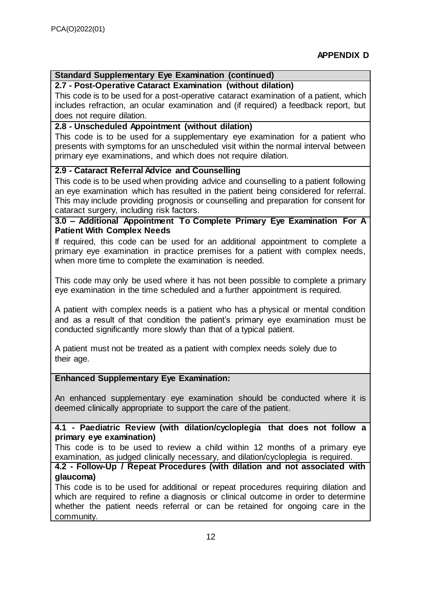# **Standard Supplementary Eye Examination (continued)**

# **2.7 - Post-Operative Cataract Examination (without dilation)**

This code is to be used for a post-operative cataract examination of a patient, which includes refraction, an ocular examination and (if required) a feedback report, but does not require dilation.

# **2.8 - Unscheduled Appointment (without dilation)**

This code is to be used for a supplementary eye examination for a patient who presents with symptoms for an unscheduled visit within the normal interval between primary eye examinations, and which does not require dilation.

# **2.9 - Cataract Referral Advice and Counselling**

This code is to be used when providing advice and counselling to a patient following an eye examination which has resulted in the patient being considered for referral. This may include providing prognosis or counselling and preparation for consent for cataract surgery, including risk factors.

# **3.0 – Additional Appointment To Complete Primary Eye Examination For A Patient With Complex Needs**

If required, this code can be used for an additional appointment to complete a primary eye examination in practice premises for a patient with complex needs, when more time to complete the examination is needed.

This code may only be used where it has not been possible to complete a primary eye examination in the time scheduled and a further appointment is required.

A patient with complex needs is a patient who has a physical or mental condition and as a result of that condition the patient's primary eye examination must be conducted significantly more slowly than that of a typical patient.

A patient must not be treated as a patient with complex needs solely due to their age.

# **Enhanced Supplementary Eye Examination:**

An enhanced supplementary eye examination should be conducted where it is deemed clinically appropriate to support the care of the patient.

# **4.1 - Paediatric Review (with dilation/cycloplegia that does not follow a primary eye examination)**

This code is to be used to review a child within 12 months of a primary eye examination, as judged clinically necessary, and dilation/cycloplegia is required.

# **4.2 - Follow-Up / Repeat Procedures (with dilation and not associated with glaucoma)**

This code is to be used for additional or repeat procedures requiring dilation and which are required to refine a diagnosis or clinical outcome in order to determine whether the patient needs referral or can be retained for ongoing care in the community.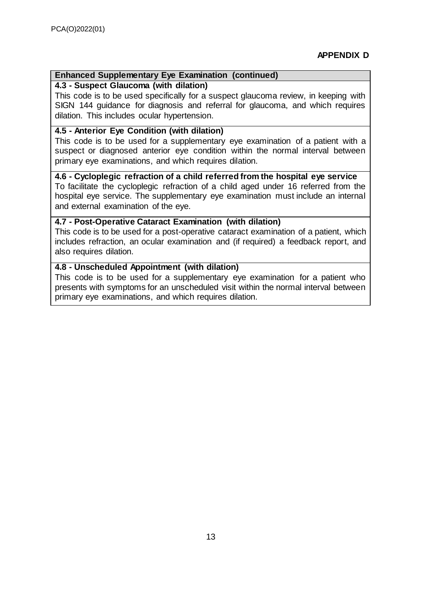# **Enhanced Supplementary Eye Examination (continued)**

# **4.3 - Suspect Glaucoma (with dilation)**

This code is to be used specifically for a suspect glaucoma review, in keeping with SIGN 144 guidance for diagnosis and referral for glaucoma, and which requires dilation. This includes ocular hypertension.

# **4.5 - Anterior Eye Condition (with dilation)**

This code is to be used for a supplementary eye examination of a patient with a suspect or diagnosed anterior eye condition within the normal interval between primary eye examinations, and which requires dilation.

**4.6 - Cycloplegic refraction of a child referred from the hospital eye service**  To facilitate the cycloplegic refraction of a child aged under 16 referred from the hospital eye service. The supplementary eye examination must include an internal and external examination of the eye.

# **4.7 - Post-Operative Cataract Examination (with dilation)**

This code is to be used for a post-operative cataract examination of a patient, which includes refraction, an ocular examination and (if required) a feedback report, and also requires dilation.

# **4.8 - Unscheduled Appointment (with dilation)**

This code is to be used for a supplementary eye examination for a patient who presents with symptoms for an unscheduled visit within the normal interval between primary eye examinations, and which requires dilation.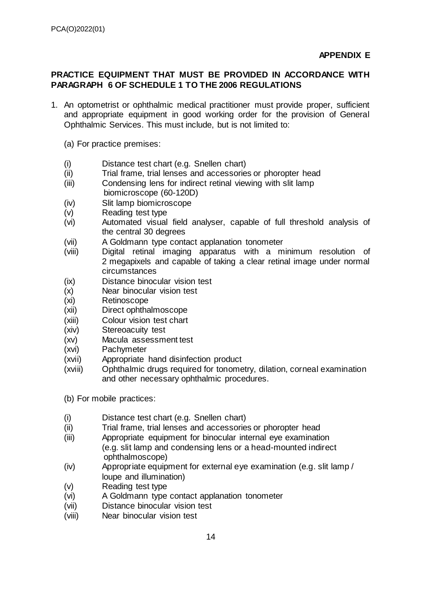# <span id="page-14-0"></span>**PRACTICE EQUIPMENT THAT MUST BE PROVIDED IN ACCORDANCE WITH PARAGRAPH 6 OF SCHEDULE 1 TO THE 2006 REGULATIONS**

- 1. An optometrist or ophthalmic medical practitioner must provide proper, sufficient and appropriate equipment in good working order for the provision of General Ophthalmic Services. This must include, but is not limited to:
	- (a) For practice premises:
	- (i) Distance test chart (e.g. Snellen chart)
	- (ii) Trial frame, trial lenses and accessories or phoropter head
	- (iii) Condensing lens for indirect retinal viewing with slit lamp biomicroscope (60-120D)
	- (iv) Slit lamp biomicroscope
	- (v) Reading test type
	- (vi) Automated visual field analyser, capable of full threshold analysis of the central 30 degrees
	- (vii) A Goldmann type contact applanation tonometer
	- (viii) Digital retinal imaging apparatus with a minimum resolution of 2 megapixels and capable of taking a clear retinal image under normal circumstances
	- (ix) Distance binocular vision test
	- (x) Near binocular vision test
	- (xi) Retinoscope
	- (xii) Direct ophthalmoscope
	- (xiii) Colour vision test chart
	- (xiv) Stereoacuity test
	- (xv) Macula assessment test
	- (xvi) Pachymeter
	- (xvii) Appropriate hand disinfection product
	- (xviii) Ophthalmic drugs required for tonometry, dilation, corneal examination and other necessary ophthalmic procedures.
	- (b) For mobile practices:
	- (i) Distance test chart (e.g. Snellen chart)
	- (ii) Trial frame, trial lenses and accessories or phoropter head
	- (iii) Appropriate equipment for binocular internal eye examination (e.g. slit lamp and condensing lens or a head-mounted indirect ophthalmoscope)
	- (iv) Appropriate equipment for external eye examination (e.g. slit lamp / loupe and illumination)
	- (v) Reading test type
	- (vi) A Goldmann type contact applanation tonometer
	- (vii) Distance binocular vision test
	- (viii) Near binocular vision test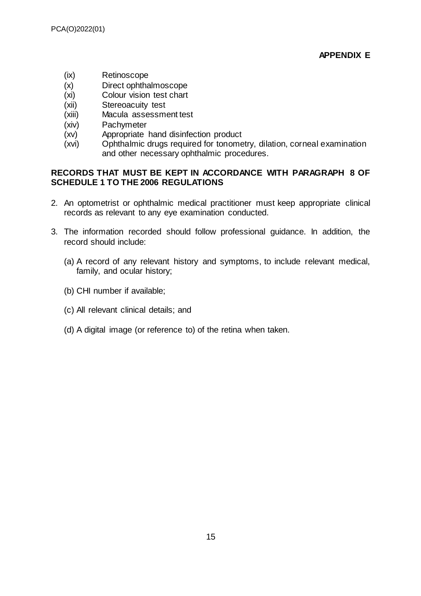- (ix) Retinoscope
- (x) Direct ophthalmoscope
- (xi) Colour vision test chart
- (xii) Stereoacuity test
- (xiii) Macula assessment test
- (xiv) Pachymeter
- (xv) Appropriate hand disinfection product
- (xvi) Ophthalmic drugs required for tonometry, dilation, corneal examination and other necessary ophthalmic procedures.

# **RECORDS THAT MUST BE KEPT IN ACCORDANCE WITH PARAGRAPH 8 OF SCHEDULE 1 TO THE 2006 REGULATIONS**

- 2. An optometrist or ophthalmic medical practitioner must keep appropriate clinical records as relevant to any eye examination conducted.
- 3. The information recorded should follow professional guidance. In addition, the record should include:
	- (a) A record of any relevant history and symptoms, to include relevant medical, family, and ocular history;
	- (b) CHI number if available;
	- (c) All relevant clinical details; and
	- (d) A digital image (or reference to) of the retina when taken.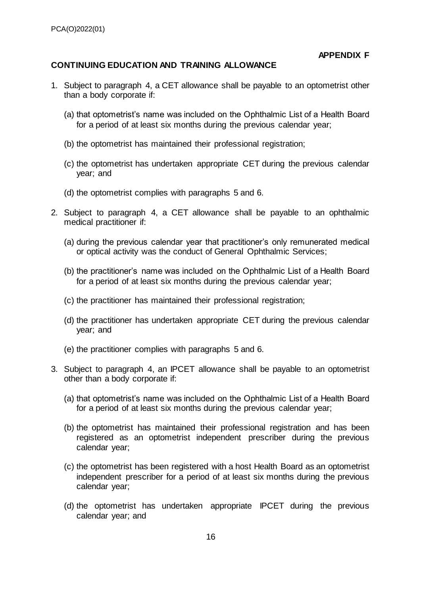**APPENDIX F**

### <span id="page-16-0"></span>**CONTINUING EDUCATION AND TRAINING ALLOWANCE**

- 1. Subject to paragraph 4, a CET allowance shall be payable to an optometrist other than a body corporate if:
	- (a) that optometrist's name was included on the Ophthalmic List of a Health Board for a period of at least six months during the previous calendar year;
	- (b) the optometrist has maintained their professional registration;
	- (c) the optometrist has undertaken appropriate CET during the previous calendar year; and
	- (d) the optometrist complies with paragraphs 5 and 6.
- 2. Subject to paragraph 4, a CET allowance shall be payable to an ophthalmic medical practitioner if:
	- (a) during the previous calendar year that practitioner's only remunerated medical or optical activity was the conduct of General Ophthalmic Services;
	- (b) the practitioner's name was included on the Ophthalmic List of a Health Board for a period of at least six months during the previous calendar year;
	- (c) the practitioner has maintained their professional registration;
	- (d) the practitioner has undertaken appropriate CET during the previous calendar year; and
	- (e) the practitioner complies with paragraphs 5 and 6.
- 3. Subject to paragraph 4, an IPCET allowance shall be payable to an optometrist other than a body corporate if:
	- (a) that optometrist's name was included on the Ophthalmic List of a Health Board for a period of at least six months during the previous calendar year;
	- (b) the optometrist has maintained their professional registration and has been registered as an optometrist independent prescriber during the previous calendar year;
	- (c) the optometrist has been registered with a host Health Board as an optometrist independent prescriber for a period of at least six months during the previous calendar year;
	- (d) the optometrist has undertaken appropriate IPCET during the previous calendar year; and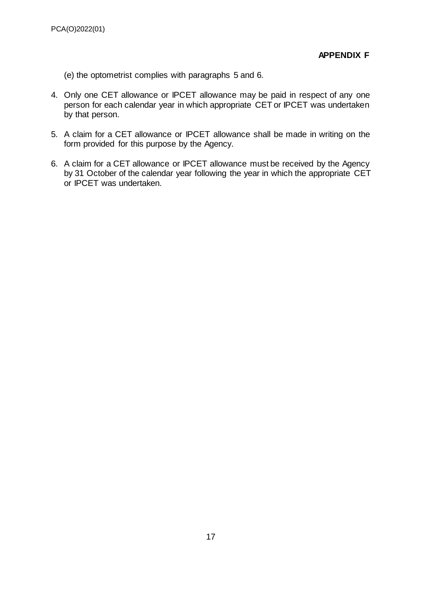(e) the optometrist complies with paragraphs 5 and 6.

- 4. Only one CET allowance or IPCET allowance may be paid in respect of any one person for each calendar year in which appropriate CET or IPCET was undertaken by that person.
- 5. A claim for a CET allowance or IPCET allowance shall be made in writing on the form provided for this purpose by the Agency.
- 6. A claim for a CET allowance or IPCET allowance must be received by the Agency by 31 October of the calendar year following the year in which the appropriate CET or IPCET was undertaken.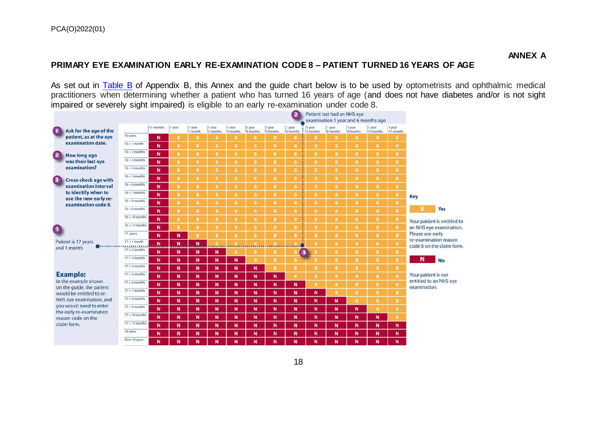# **PRIMARY EYE EXAMINATION EARLY RE-EXAMINATION CODE 8 – PATIENT TURNED 16 YEARS OF AGE**

As set out in [Table B](#page-6-3) of Appendix B, this Annex and the guide chart below is to be used by optometrists and ophthalmic medical practitioners when determining whether a patient who has turned 16 years of age (and does not have diabetes and/or is not sight impaired or severely sight impaired) is eligible to an early re-examination under code 8.

|                                                                                                                                                                              | $\overline{\mathbf{2}}$<br>Patient last had an NHS eye<br>examination 1 year and 6 months ago |           |          |                   |                    |                    |                    |                    |                    |                                    |                    |                    |                     |                     |                                                    |
|------------------------------------------------------------------------------------------------------------------------------------------------------------------------------|-----------------------------------------------------------------------------------------------|-----------|----------|-------------------|--------------------|--------------------|--------------------|--------------------|--------------------|------------------------------------|--------------------|--------------------|---------------------|---------------------|----------------------------------------------------|
| Ask for the age of the                                                                                                                                                       |                                                                                               | 11 months | 1 year   | 1 year<br>1 month | 1 year<br>2 months | 1 year<br>3 months | 1 year<br>4 months | 1 year<br>5 months | 1 year<br>6 months | 1 year<br>$\frac{1}{2}$   7 months | 1 year<br>8 months | l year<br>9 months | 1 year<br>10 months | 1 year<br>11 months |                                                    |
| patient, as at the eye<br>examination date.                                                                                                                                  | 16 years                                                                                      | N         | 8        | B                 | 8                  | 8                  | а                  | 8                  | 8                  | в                                  | 8                  | 8                  | 8                   | 8.                  |                                                    |
|                                                                                                                                                                              | $16 + 1$ month                                                                                | N         | 8        | $\bf{8}$          | 8                  | 8                  | 8                  | 8                  | 8                  | 8                                  | $\bf{8}$           | 8                  | $\bf{8}$            | 8                   |                                                    |
| $\overline{\mathbf{2}}$<br><b>How long ago</b><br>was their last eye<br>examination?                                                                                         | $16 + 2$ months                                                                               | N         | 8        | 8                 | 8                  | 8                  | 8                  | 8                  | 8                  | 8                                  | 8                  | 8                  | 8                   | 8                   |                                                    |
|                                                                                                                                                                              | $16 + 3$ months                                                                               | N         | 8        | $\bf{8}$          | 8                  | $\mathbf{a}$       | 8                  | 8                  | 8                  | 8                                  | $\bf{8}$           | 8                  | $\mathbf{a}$        | 8                   |                                                    |
|                                                                                                                                                                              | $16 + 4$ months                                                                               | N         | $\bf{a}$ | $\bf{8}$          | 8                  | 8                  | 8                  | $\bf{8}$           | $\bf{8}$           | 8                                  | $\mathbf{8}$       | 8.                 | 8                   | $\bf{8}$            |                                                    |
| <b>Cross-check age with</b>                                                                                                                                                  | $16 + 5$ months                                                                               | N         | 8        | $\bf{8}$          | 8                  | $\mathbf{a}$       | 8                  | 8                  | 8                  | 8                                  | 8                  | 8                  | 8                   | 8                   |                                                    |
| examination interval                                                                                                                                                         | $16 + 6$ months                                                                               | N         | 8        | 8                 | 8                  | $\mathbf{a}$       | а.                 | 8                  | 8                  | 8                                  | $\bf{8}$           | 8                  | 8                   | $\bf{8}$            |                                                    |
| to identify when to                                                                                                                                                          | $16 + 7$ months                                                                               | N         | 8        | 8                 | 8                  | 8                  | 8                  | 8                  | 8                  | 8                                  | 8                  | 8                  | 8                   | 8                   | <b>Key</b>                                         |
| use the new early re-<br>examination code 8.                                                                                                                                 | $16 + 8$ months                                                                               | N         | 8        | 8                 | 8                  | 8                  | 8                  | 8                  | 8                  | 8                                  | 8                  | 8                  | 8                   | 8                   |                                                    |
|                                                                                                                                                                              | $16 + 9$ months                                                                               | N         | 8        | 8                 | 8                  | 8                  | 8                  | 8                  | 8                  | 8                                  | 8                  | 8                  | 8                   | $\mathbf{g}$        | 8<br>Yes                                           |
|                                                                                                                                                                              | $16 + 10$ months                                                                              | N         | 8        | 8                 | 8                  | 8                  | 8                  | 8                  | 8                  | 8                                  | 8                  | 8                  | 8                   | 8                   | Your patient is entitled to                        |
|                                                                                                                                                                              | $16 + 11$ months                                                                              | N         | 8        | $\bf{8}$          | 8                  | 8                  | 8                  | 8                  | 8                  | 8                                  | 8                  | 8                  | 8                   | 8                   | an NHS eye examination.                            |
|                                                                                                                                                                              | 17 years                                                                                      | N         | N        | 8                 | 8                  | 8                  | 8                  | 8                  | 8                  | 8                                  | 8                  | 8                  | 8                   | 8                   | Please use early                                   |
| Patient is 17 years                                                                                                                                                          | $17 + 1$ month                                                                                | Ņ         | N        | N                 | $\cdots$           | 1.111              |                    | 1.11111            |                    | 8                                  | $\mathbf{g}$       | 8                  | 8                   | 8                   | re-examination reason<br>code 8 on the claim form. |
| and 1 month                                                                                                                                                                  | $17 + 2$ months                                                                               | N         | N        | N                 | N                  | 8                  | 8.                 | 8                  | $\mathbf{3}$<br>в  |                                    | 8                  | 8                  | 8                   | 8                   |                                                    |
|                                                                                                                                                                              | $17 + 3$ months                                                                               | N         | N        | N                 | N                  | N                  | $\mathbf{a}$       | 8                  | 8                  | 8                                  | 8                  | 8                  | 8                   | $\bf{8}$            | N<br><b>No</b>                                     |
|                                                                                                                                                                              | $17 + 4$ months                                                                               | N         | N        | N                 | N                  | N                  | N                  | 8                  | 8                  | 8                                  | $\bf{8}$           | 8                  | 8                   | $\mathbf{8}$        |                                                    |
| <b>Example:</b>                                                                                                                                                              | $17 + 5$ months                                                                               | N         | N        | $\mathbf N$       | N                  | N                  | N                  | N                  | 8                  | 8                                  | $\mathbf{s}$       | 8                  | $\mathbf{a}$        | $\bf{8}$            | Your patient is not                                |
| In the example shown                                                                                                                                                         | $17 + 6$ months                                                                               | N         | N        | N                 | N                  | N                  | N                  | N                  | N                  | 8                                  | 8                  | 8                  | 8                   | $\bf{8}$            | entitled to an NHS eye<br>examination.             |
| on the quide, the patient<br>would be entitled to an<br>NHS eye examination, and<br>you would need to enter<br>the early re-examination<br>reason code on the<br>claim form. | $17 + 7$ months                                                                               | N         | N        | N                 | N                  | N                  | N                  | N                  | N                  | N                                  | 8                  | $\mathbf{a}$       | $\mathbf{a}$        | 8                   |                                                    |
|                                                                                                                                                                              | $17 + 8$ months                                                                               | N         | N        | N                 | N                  | N                  | N                  | N                  | N                  | N                                  | N                  | 8                  | 8                   | 8                   |                                                    |
|                                                                                                                                                                              | $17 + 9$ months                                                                               | N         | N        | N                 | N                  | N                  | N                  | N                  | N                  | N                                  | N                  | N                  | 8                   | 8                   |                                                    |
|                                                                                                                                                                              | $17 + 10$ months                                                                              | N         | N        | N                 | N                  | N                  | N                  | N                  | N                  | N                                  | N                  | N                  | N                   | 8                   |                                                    |
|                                                                                                                                                                              | $17 + 11$ months                                                                              | N         | N        | N                 | N                  | N                  | N                  | N                  | N                  | N                                  | N                  | N                  | N                   | N                   |                                                    |
|                                                                                                                                                                              | 18 years                                                                                      | N         | N        | N                 | N                  | N                  | N                  | N                  | N                  | N                                  | N                  | N                  | N                   | N                   |                                                    |
|                                                                                                                                                                              | Over 18 years                                                                                 | N         | N        | N                 | N                  | N                  | N                  | N                  | N                  | N                                  | N                  | N                  | N                   | N                   |                                                    |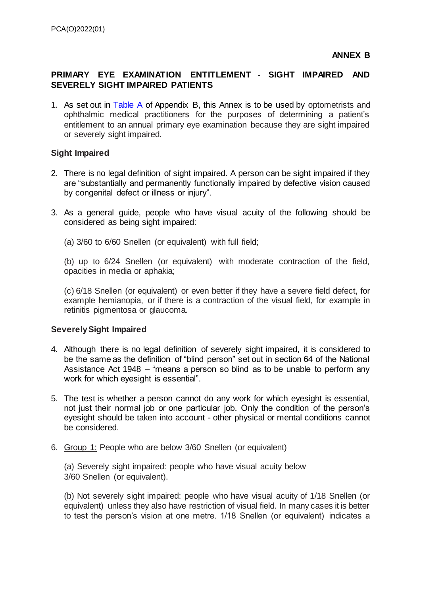# **PRIMARY EYE EXAMINATION ENTITLEMENT - SIGHT IMPAIRED AND SEVERELY SIGHT IMPAIRED PATIENTS**

1. As set out in [Table A](#page-6-1) of Appendix B, this Annex is to be used by optometrists and ophthalmic medical practitioners for the purposes of determining a patient's entitlement to an annual primary eye examination because they are sight impaired or severely sight impaired.

# **Sight Impaired**

- 2. There is no legal definition of sight impaired. A person can be sight impaired if they are "substantially and permanently functionally impaired by defective vision caused by congenital defect or illness or injury".
- 3. As a general guide, people who have visual acuity of the following should be considered as being sight impaired:
	- (a) 3/60 to 6/60 Snellen (or equivalent) with full field;

(b) up to 6/24 Snellen (or equivalent) with moderate contraction of the field, opacities in media or aphakia;

(c) 6/18 Snellen (or equivalent) or even better if they have a severe field defect, for example hemianopia, or if there is a contraction of the visual field, for example in retinitis pigmentosa or glaucoma.

# **Severely Sight Impaired**

- 4. Although there is no legal definition of severely sight impaired, it is considered to be the same as the definition of "blind person" set out in section 64 of the National Assistance Act 1948 – "means a person so blind as to be unable to perform any work for which eyesight is essential".
- 5. The test is whether a person cannot do any work for which eyesight is essential, not just their normal job or one particular job. Only the condition of the person's eyesight should be taken into account - other physical or mental conditions cannot be considered.
- 6. Group 1: People who are below 3/60 Snellen (or equivalent)

(a) Severely sight impaired: people who have visual acuity below 3/60 Snellen (or equivalent).

(b) Not severely sight impaired: people who have visual acuity of 1/18 Snellen (or equivalent) unless they also have restriction of visual field. In many cases it is better to test the person's vision at one metre. 1/18 Snellen (or equivalent) indicates a